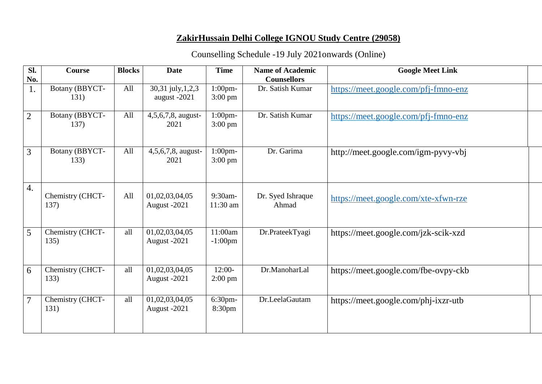## **ZakirHussain Delhi College IGNOU Study Centre (29058)**

## Counselling Schedule -19 July 2021onwards (Online)

| Sl.              | <b>Course</b>            | <b>Blocks</b> | <b>Date</b>                       | <b>Time</b>                     | <b>Name of Academic</b>    | <b>Google Meet Link</b>              |  |
|------------------|--------------------------|---------------|-----------------------------------|---------------------------------|----------------------------|--------------------------------------|--|
| No.              |                          |               |                                   |                                 | <b>Counsellors</b>         |                                      |  |
| 1.               | Botany (BBYCT-<br>131)   | All           | 30,31 july, 1,2,3<br>august -2021 | $1:00$ pm-<br>$3:00 \text{ pm}$ | Dr. Satish Kumar           | https://meet.google.com/pfj-fmno-enz |  |
| $\overline{2}$   | Botany (BBYCT-<br>137)   | All           | 4,5,6,7,8, august-<br>2021        | $1:00$ pm-<br>$3:00 \text{ pm}$ | Dr. Satish Kumar           | https://meet.google.com/pfj-fmno-enz |  |
| $\overline{3}$   | Botany (BBYCT-<br>133)   | All           | 4,5,6,7,8, august-<br>2021        | $1:00$ pm-<br>$3:00 \text{ pm}$ | Dr. Garima                 | http://meet.google.com/igm-pyvy-vbj  |  |
| $\overline{4}$ . | Chemistry (CHCT-<br>137) | All           | 01,02,03,04,05<br>August -2021    | 9:30am-<br>11:30 am             | Dr. Syed Ishraque<br>Ahmad | https://meet.google.com/xte-xfwn-rze |  |
| 5                | Chemistry (CHCT-<br>135) | all           | 01,02,03,04,05<br>August -2021    | 11:00am<br>$-1:00$ pm           | Dr.PrateekTyagi            | https://meet.google.com/jzk-scik-xzd |  |
| 6                | Chemistry (CHCT-<br>133) | all           | 01,02,03,04,05<br>August -2021    | $12:00-$<br>$2:00 \text{ pm}$   | Dr.ManoharLal              | https://meet.google.com/fbe-ovpy-ckb |  |
| $\overline{7}$   | Chemistry (CHCT-<br>131) | all           | 01,02,03,04,05<br>August -2021    | 6:30pm-<br>8:30pm               | Dr.LeelaGautam             | https://meet.google.com/phj-ixzr-utb |  |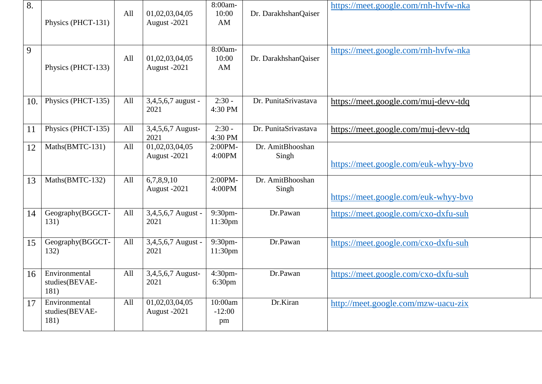| 8.  | Physics (PHCT-131)                      | All | 01,02,03,04,05<br>August -2021 | 8:00am-<br>10:00<br>AM            | Dr. DarakhshanQaiser      | https://meet.google.com/rnh-hyfw-nka |
|-----|-----------------------------------------|-----|--------------------------------|-----------------------------------|---------------------------|--------------------------------------|
| 9   | Physics (PHCT-133)                      | All | 01,02,03,04,05<br>August -2021 | 8:00am-<br>10:00<br>AM            | Dr. DarakhshanQaiser      | https://meet.google.com/rnh-hvfw-nka |
| 10. | Physics (PHCT-135)                      | All | $3,4,5,6,7$ august -<br>2021   | $2:30 -$<br>4:30 PM               | Dr. PunitaSrivastava      | https://meet.google.com/muj-devv-tdq |
| 11  | Physics (PHCT-135)                      | All | 3,4,5,6,7 August-<br>2021      | $2:30 -$<br>4:30 PM               | Dr. PunitaSrivastava      | https://meet.google.com/muj-devv-tdq |
| 12  | Maths(BMTC-131)                         | All | 01,02,03,04,05<br>August -2021 | 2:00PM-<br>4:00PM                 | Dr. AmitBhooshan<br>Singh | https://meet.google.com/euk-whyy-byo |
| 13  | Maths(BMTC-132)                         | All | 6,7,8,9,10<br>August -2021     | 2:00PM-<br>4:00PM                 | Dr. AmitBhooshan<br>Singh | https://meet.google.com/euk-whyy-byo |
| 14  | Geography(BGGCT-<br>131)                | All | 3,4,5,6,7 August -<br>2021     | $9:30$ pm-<br>11:30 <sub>pm</sub> | Dr.Pawan                  | https://meet.google.com/cxo-dxfu-suh |
| 15  | Geography(BGGCT-<br>132)                | All | 3,4,5,6,7 August -<br>2021     | 9:30pm-<br>11:30 <sub>pm</sub>    | Dr.Pawan                  | https://meet.google.com/cxo-dxfu-suh |
| 16  | Environmental<br>studies(BEVAE-<br>181) | All | 3,4,5,6,7 August-<br>2021      | 4:30pm-<br>6:30 <sub>pm</sub>     | Dr.Pawan                  | https://meet.google.com/cxo-dxfu-suh |
| 17  | Environmental<br>studies(BEVAE-<br>181) | All | 01,02,03,04,05<br>August -2021 | 10:00am<br>$-12:00$<br>pm         | Dr.Kiran                  | http://meet.google.com/mzw-uacu-zix  |